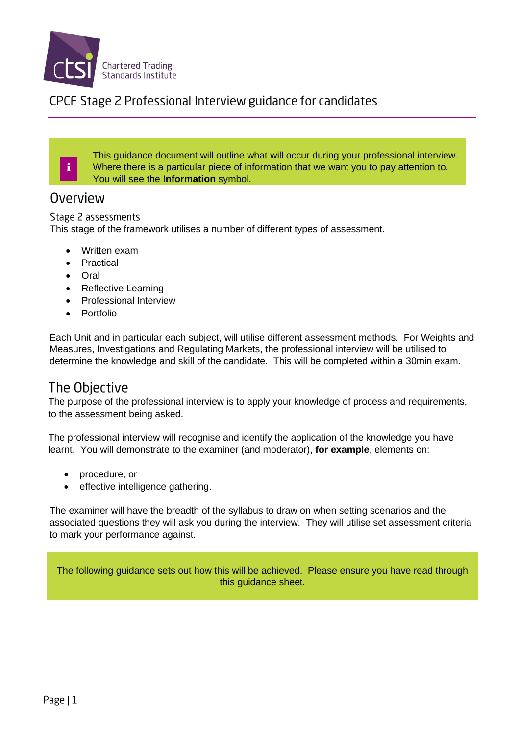

### CPCF Stage 2 Professional Interview guidance for candidates

This guidance document will outline what will occur during your professional interview. Where there is a particular piece of information that we want you to pay attention to. You will see the I**nformation** symbol.

#### Overview

i

Stage 2 assessments

This stage of the framework utilises a number of different types of assessment.

- Written exam
- **Practical**
- Oral
- Reflective Learning
- Professional Interview
- Portfolio

Each Unit and in particular each subject, will utilise different assessment methods. For Weights and Measures, Investigations and Regulating Markets, the professional interview will be utilised to determine the knowledge and skill of the candidate. This will be completed within a 30min exam.

## The Objective

The purpose of the professional interview is to apply your knowledge of process and requirements, to the assessment being asked.

The professional interview will recognise and identify the application of the knowledge you have learnt. You will demonstrate to the examiner (and moderator), **for example**, elements on:

- procedure, or
- effective intelligence gathering.

The examiner will have the breadth of the syllabus to draw on when setting scenarios and the associated questions they will ask you during the interview. They will utilise set assessment criteria to mark your performance against.

The following guidance sets out how this will be achieved. Please ensure you have read through this guidance sheet.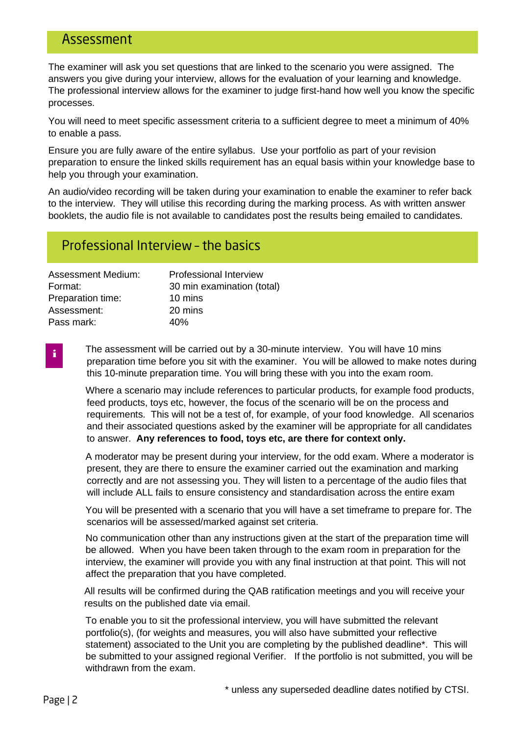## Assessment

The examiner will ask you set questions that are linked to the scenario you were assigned. The answers you give during your interview, allows for the evaluation of your learning and knowledge. The professional interview allows for the examiner to judge first-hand how well you know the specific processes.

You will need to meet specific assessment criteria to a sufficient degree to meet a minimum of 40% to enable a pass.

Ensure you are fully aware of the entire syllabus. Use your portfolio as part of your revision preparation to ensure the linked skills requirement has an equal basis within your knowledge base to help you through your examination.

An audio/video recording will be taken during your examination to enable the examiner to refer back to the interview. They will utilise this recording during the marking process. As with written answer booklets, the audio file is not available to candidates post the results being emailed to candidates.

## Professional Interview - the basics

| <b>Assessment Medium:</b> | <b>Professional Interview</b> |
|---------------------------|-------------------------------|
| Format:                   | 30 min examination (total)    |
| Preparation time:         | 10 mins                       |
| Assessment:               | 20 mins                       |
| Pass mark:                | 40%                           |
|                           |                               |

The assessment will be carried out by a 30-minute interview. You will have 10 mins preparation time before you sit with the examiner. You will be allowed to make notes during this 10-minute preparation time. You will bring these with you into the exam room.

Where a scenario may include references to particular products, for example food products, feed products, toys etc, however, the focus of the scenario will be on the process and requirements. This will not be a test of, for example, of your food knowledge. All scenarios and their associated questions asked by the examiner will be appropriate for all candidates to answer. **Any references to food, toys etc, are there for context only.**

A moderator may be present during your interview, for the odd exam. Where a moderator is present, they are there to ensure the examiner carried out the examination and marking correctly and are not assessing you. They will listen to a percentage of the audio files that will include ALL fails to ensure consistency and standardisation across the entire exam

You will be presented with a scenario that you will have a set timeframe to prepare for. The scenarios will be assessed/marked against set criteria.

No communication other than any instructions given at the start of the preparation time will be allowed. When you have been taken through to the exam room in preparation for the interview, the examiner will provide you with any final instruction at that point. This will not affect the preparation that you have completed.

All results will be confirmed during the QAB ratification meetings and you will receive your results on the published date via email.

To enable you to sit the professional interview, you will have submitted the relevant portfolio(s), (for weights and measures, you will also have submitted your reflective statement) associated to the Unit you are completing by the published deadline\*. This will be submitted to your assigned regional Verifier. If the portfolio is not submitted, you will be withdrawn from the exam.

i